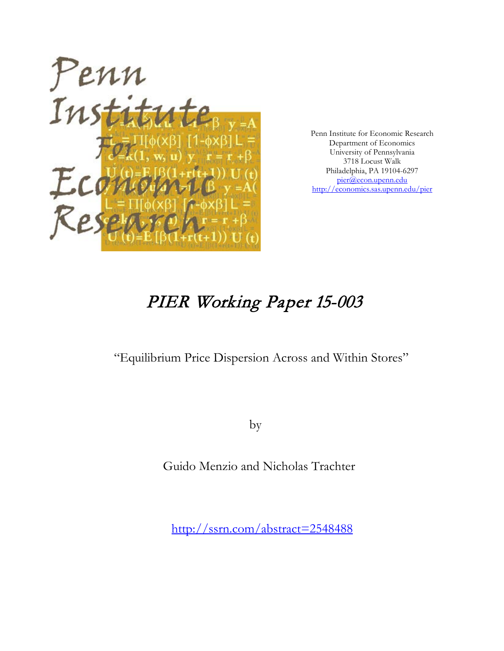

Penn Institute for Economic Research Department of Economics University of Pennsylvania 3718 Locust Walk Philadelphia, PA 19104-6297 [pier@econ.upenn.edu](mailto:pier@econ.upenn.edu) <http://economics.sas.upenn.edu/pier>

# PIER Working Paper 15-003

"Equilibrium Price Dispersion Across and Within Stores"

by

Guido Menzio and Nicholas Trachter

[http://ssrn.com/abstract=2](http://ssrn.com/abstract_id=)548488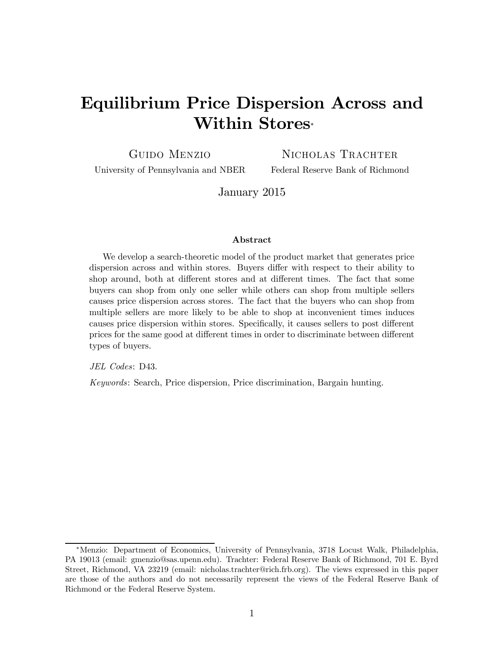## Equilibrium Price Dispersion Across and Within Stores<sup>∗</sup>

Guido Menzio

NICHOLAS TRACHTER

University of Pennsylvania and NBER

Federal Reserve Bank of Richmond

January 2015

#### Abstract

We develop a search-theoretic model of the product market that generates price dispersion across and within stores. Buyers differ with respect to their ability to shop around, both at different stores and at different times. The fact that some buyers can shop from only one seller while others can shop from multiple sellers causes price dispersion across stores. The fact that the buyers who can shop from multiple sellers are more likely to be able to shop at inconvenient times induces causes price dispersion within stores. Specifically, it causes sellers to post different prices for the same good at different times in order to discriminate between different types of buyers.

JEL Codes: D43.

Keywords: Search, Price dispersion, Price discrimination, Bargain hunting.

<sup>∗</sup>Menzio: Department of Economics, University of Pennsylvania, 3718 Locust Walk, Philadelphia, PA 19013 (email: gmenzio@sas.upenn.edu). Trachter: Federal Reserve Bank of Richmond, 701 E. Byrd Street, Richmond, VA 23219 (email: nicholas.trachter@rich.frb.org). The views expressed in this paper are those of the authors and do not necessarily represent the views of the Federal Reserve Bank of Richmond or the Federal Reserve System.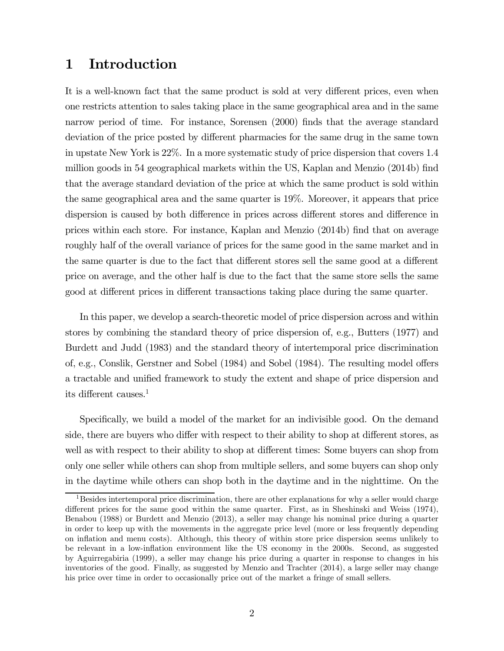## 1 Introduction

It is a well-known fact that the same product is sold at very different prices, even when one restricts attention to sales taking place in the same geographical area and in the same narrow period of time. For instance, Sorensen (2000) finds that the average standard deviation of the price posted by different pharmacies for the same drug in the same town in upstate New York is 22%. In a more systematic study of price dispersion that covers 1.4 million goods in 54 geographical markets within the US, Kaplan and Menzio (2014b) find that the average standard deviation of the price at which the same product is sold within the same geographical area and the same quarter is 19%. Moreover, it appears that price dispersion is caused by both difference in prices across different stores and difference in prices within each store. For instance, Kaplan and Menzio (2014b) find that on average roughly half of the overall variance of prices for the same good in the same market and in the same quarter is due to the fact that different stores sell the same good at a different price on average, and the other half is due to the fact that the same store sells the same good at different prices in different transactions taking place during the same quarter.

In this paper, we develop a search-theoretic model of price dispersion across and within stores by combining the standard theory of price dispersion of, e.g., Butters (1977) and Burdett and Judd (1983) and the standard theory of intertemporal price discrimination of, e.g., Conslik, Gerstner and Sobel (1984) and Sobel (1984). The resulting model offers a tractable and unified framework to study the extent and shape of price dispersion and its different causes.<sup>1</sup>

Specifically, we build a model of the market for an indivisible good. On the demand side, there are buyers who differ with respect to their ability to shop at different stores, as well as with respect to their ability to shop at different times: Some buyers can shop from only one seller while others can shop from multiple sellers, and some buyers can shop only in the daytime while others can shop both in the daytime and in the nighttime. On the

 $1$ Besides intertemporal price discrimination, there are other explanations for why a seller would charge different prices for the same good within the same quarter. First, as in Sheshinski and Weiss (1974), Benabou (1988) or Burdett and Menzio (2013), a seller may change his nominal price during a quarter in order to keep up with the movements in the aggregate price level (more or less frequently depending on inflation and menu costs). Although, this theory of within store price dispersion seems unlikely to be relevant in a low-inflation environment like the US economy in the 2000s. Second, as suggested by Aguirregabiria (1999), a seller may change his price during a quarter in response to changes in his inventories of the good. Finally, as suggested by Menzio and Trachter (2014), a large seller may change his price over time in order to occasionally price out of the market a fringe of small sellers.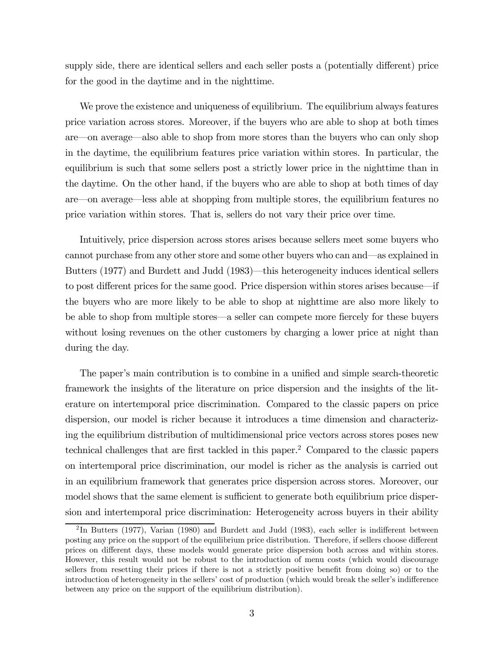supply side, there are identical sellers and each seller posts a (potentially different) price for the good in the daytime and in the nighttime.

We prove the existence and uniqueness of equilibrium. The equilibrium always features price variation across stores. Moreover, if the buyers who are able to shop at both times are–on average–also able to shop from more stores than the buyers who can only shop in the daytime, the equilibrium features price variation within stores. In particular, the equilibrium is such that some sellers post a strictly lower price in the nighttime than in the daytime. On the other hand, if the buyers who are able to shop at both times of day are–on average–less able at shopping from multiple stores, the equilibrium features no price variation within stores. That is, sellers do not vary their price over time.

Intuitively, price dispersion across stores arises because sellers meet some buyers who cannot purchase from any other store and some other buyers who can and–as explained in Butters (1977) and Burdett and Judd (1983)–this heterogeneity induces identical sellers to post different prices for the same good. Price dispersion within stores arises because–if the buyers who are more likely to be able to shop at nighttime are also more likely to be able to shop from multiple stores–a seller can compete more fiercely for these buyers without losing revenues on the other customers by charging a lower price at night than during the day.

The paper's main contribution is to combine in a unified and simple search-theoretic framework the insights of the literature on price dispersion and the insights of the literature on intertemporal price discrimination. Compared to the classic papers on price dispersion, our model is richer because it introduces a time dimension and characterizing the equilibrium distribution of multidimensional price vectors across stores poses new technical challenges that are first tackled in this paper.2 Compared to the classic papers on intertemporal price discrimination, our model is richer as the analysis is carried out in an equilibrium framework that generates price dispersion across stores. Moreover, our model shows that the same element is sufficient to generate both equilibrium price dispersion and intertemporal price discrimination: Heterogeneity across buyers in their ability

 $2$ In Butters (1977), Varian (1980) and Burdett and Judd (1983), each seller is indifferent between posting any price on the support of the equilibrium price distribution. Therefore, if sellers choose different prices on different days, these models would generate price dispersion both across and within stores. However, this result would not be robust to the introduction of menu costs (which would discourage sellers from resetting their prices if there is not a strictly positive benefit from doing so) or to the introduction of heterogeneity in the sellers' cost of production (which would break the seller's indifference between any price on the support of the equilibrium distribution).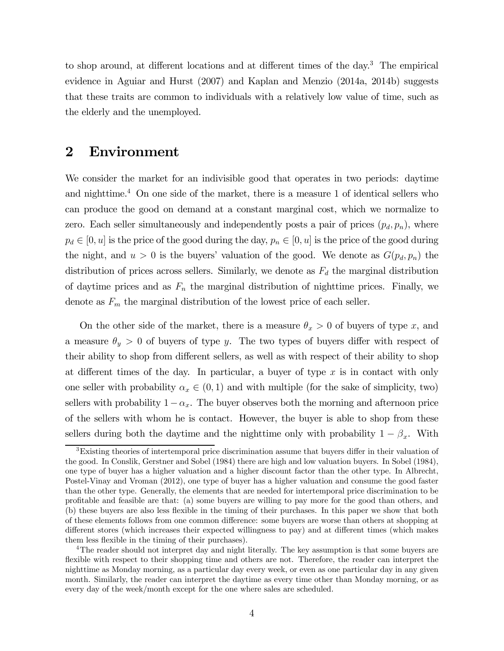to shop around, at different locations and at different times of the day.<sup>3</sup> The empirical evidence in Aguiar and Hurst (2007) and Kaplan and Menzio (2014a, 2014b) suggests that these traits are common to individuals with a relatively low value of time, such as the elderly and the unemployed.

## 2 Environment

We consider the market for an indivisible good that operates in two periods: daytime and nighttime.<sup>4</sup> On one side of the market, there is a measure 1 of identical sellers who can produce the good on demand at a constant marginal cost, which we normalize to zero. Each seller simultaneously and independently posts a pair of prices  $(p_d, p_n)$ , where  $p_d \in [0, u]$  is the price of the good during the day,  $p_n \in [0, u]$  is the price of the good during the night, and  $u > 0$  is the buyers' valuation of the good. We denote as  $G(p_d, p_n)$  the distribution of prices across sellers. Similarly, we denote as  $F_d$  the marginal distribution of daytime prices and as  $F_n$  the marginal distribution of nighttime prices. Finally, we denote as  $F_m$  the marginal distribution of the lowest price of each seller.

On the other side of the market, there is a measure  $\theta_x > 0$  of buyers of type x, and a measure  $\theta_y > 0$  of buyers of type y. The two types of buyers differ with respect of their ability to shop from different sellers, as well as with respect of their ability to shop at different times of the day. In particular, a buyer of type  $x$  is in contact with only one seller with probability  $\alpha_x \in (0,1)$  and with multiple (for the sake of simplicity, two) sellers with probability  $1-\alpha_x$ . The buyer observes both the morning and afternoon price of the sellers with whom he is contact. However, the buyer is able to shop from these sellers during both the daytime and the nighttime only with probability  $1 - \beta_x$ . With

<sup>3</sup>Existing theories of intertemporal price discrimination assume that buyers differ in their valuation of the good. In Conslik, Gerstner and Sobel (1984) there are high and low valuation buyers. In Sobel (1984), one type of buyer has a higher valuation and a higher discount factor than the other type. In Albrecht, Postel-Vinay and Vroman (2012), one type of buyer has a higher valuation and consume the good faster than the other type. Generally, the elements that are needed for intertemporal price discrimination to be profitable and feasible are that: (a) some buyers are willing to pay more for the good than others, and (b) these buyers are also less flexible in the timing of their purchases. In this paper we show that both of these elements follows from one common difference: some buyers are worse than others at shopping at different stores (which increases their expected willingness to pay) and at different times (which makes them less flexible in the timing of their purchases).

<sup>&</sup>lt;sup>4</sup>The reader should not interpret day and night literally. The key assumption is that some buyers are flexible with respect to their shopping time and others are not. Therefore, the reader can interpret the nighttime as Monday morning, as a particular day every week, or even as one particular day in any given month. Similarly, the reader can interpret the daytime as every time other than Monday morning, or as every day of the week/month except for the one where sales are scheduled.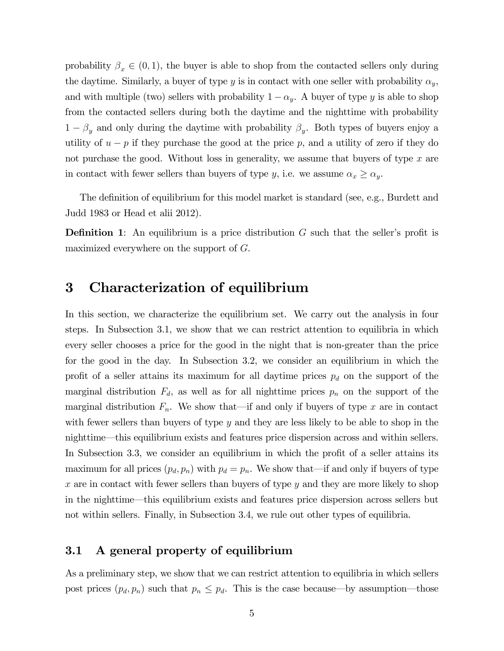probability  $\beta_x \in (0,1)$ , the buyer is able to shop from the contacted sellers only during the daytime. Similarly, a buyer of type y is in contact with one seller with probability  $\alpha_y$ , and with multiple (two) sellers with probability  $1 - \alpha_y$ . A buyer of type y is able to shop from the contacted sellers during both the daytime and the nighttime with probability  $1 - \beta_y$  and only during the daytime with probability  $\beta_y$ . Both types of buyers enjoy a utility of  $u - p$  if they purchase the good at the price p, and a utility of zero if they do not purchase the good. Without loss in generality, we assume that buyers of type  $x$  are in contact with fewer sellers than buyers of type y, i.e. we assume  $\alpha_x \ge \alpha_y$ .

The definition of equilibrium for this model market is standard (see, e.g., Burdett and Judd 1983 or Head et alii 2012).

**Definition 1:** An equilibrium is a price distribution  $G$  such that the seller's profit is maximized everywhere on the support of  $G$ .

## 3 Characterization of equilibrium

In this section, we characterize the equilibrium set. We carry out the analysis in four steps. In Subsection 3.1, we show that we can restrict attention to equilibria in which every seller chooses a price for the good in the night that is non-greater than the price for the good in the day. In Subsection 3.2, we consider an equilibrium in which the profit of a seller attains its maximum for all daytime prices  $p_d$  on the support of the marginal distribution  $F_d$ , as well as for all nighttime prices  $p_n$  on the support of the marginal distribution  $F_n$ . We show that—if and only if buyers of type x are in contact with fewer sellers than buyers of type  $y$  and they are less likely to be able to shop in the nighttime–this equilibrium exists and features price dispersion across and within sellers. In Subsection 3.3, we consider an equilibrium in which the profit of a seller attains its maximum for all prices  $(p_d, p_n)$  with  $p_d = p_n$ . We show that—if and only if buyers of type  $x$  are in contact with fewer sellers than buyers of type  $y$  and they are more likely to shop in the nighttime–this equilibrium exists and features price dispersion across sellers but not within sellers. Finally, in Subsection 3.4, we rule out other types of equilibria.

#### 3.1 A general property of equilibrium

As a preliminary step, we show that we can restrict attention to equilibria in which sellers post prices  $(p_d, p_n)$  such that  $p_n \leq p_d$ . This is the case because—by assumption—those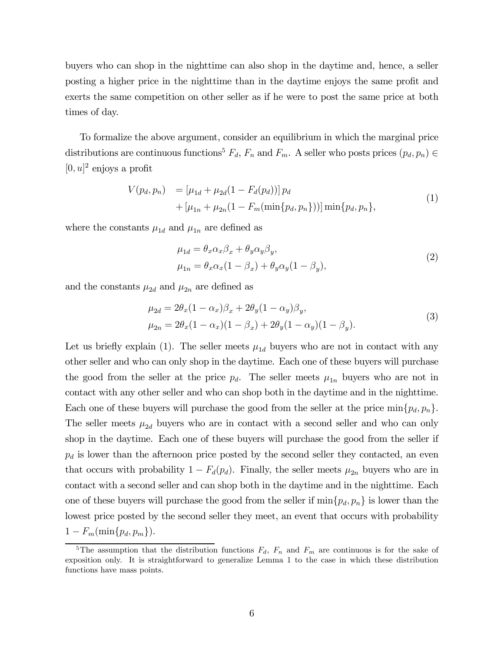buyers who can shop in the nighttime can also shop in the daytime and, hence, a seller posting a higher price in the nighttime than in the daytime enjoys the same profit and exerts the same competition on other seller as if he were to post the same price at both times of day.

To formalize the above argument, consider an equilibrium in which the marginal price distributions are continuous functions<sup>5</sup>  $F_d$ ,  $F_n$  and  $F_m$ . A seller who posts prices  $(p_d, p_n) \in$  $[0, u]^2$  enjoys a profit

$$
V(p_d, p_n) = [\mu_{1d} + \mu_{2d}(1 - F_d(p_d))] p_d
$$
  
+  $[\mu_{1n} + \mu_{2n}(1 - F_m(\min\{p_d, p_n\}))] \min\{p_d, p_n\},$  (1)

where the constants  $\mu_{1d}$  and  $\mu_{1n}$  are defined as

$$
\mu_{1d} = \theta_x \alpha_x \beta_x + \theta_y \alpha_y \beta_y, \n\mu_{1n} = \theta_x \alpha_x (1 - \beta_x) + \theta_y \alpha_y (1 - \beta_y),
$$
\n(2)

and the constants  $\mu_{2d}$  and  $\mu_{2n}$  are defined as

$$
\mu_{2d} = 2\theta_x (1 - \alpha_x)\beta_x + 2\theta_y (1 - \alpha_y)\beta_y,
$$
  
\n
$$
\mu_{2n} = 2\theta_x (1 - \alpha_x)(1 - \beta_x) + 2\theta_y (1 - \alpha_y)(1 - \beta_y).
$$
\n(3)

Let us briefly explain (1). The seller meets  $\mu_{1d}$  buyers who are not in contact with any other seller and who can only shop in the daytime. Each one of these buyers will purchase the good from the seller at the price  $p_d$ . The seller meets  $\mu_{1n}$  buyers who are not in contact with any other seller and who can shop both in the daytime and in the nighttime. Each one of these buyers will purchase the good from the seller at the price  $\min\{p_d, p_n\}.$ The seller meets  $\mu_{2d}$  buyers who are in contact with a second seller and who can only shop in the daytime. Each one of these buyers will purchase the good from the seller if  $p_d$  is lower than the afternoon price posted by the second seller they contacted, an even that occurs with probability  $1 - F_d(p_d)$ . Finally, the seller meets  $\mu_{2n}$  buyers who are in contact with a second seller and can shop both in the daytime and in the nighttime. Each one of these buyers will purchase the good from the seller if  $\min\{p_d, p_n\}$  is lower than the lowest price posted by the second seller they meet, an event that occurs with probability  $1 - F_m(\min\{p_d, p_m\}).$ 

<sup>&</sup>lt;sup>5</sup>The assumption that the distribution functions  $F_d$ ,  $F_n$  and  $F_m$  are continuous is for the sake of exposition only. It is straightforward to generalize Lemma 1 to the case in which these distribution functions have mass points.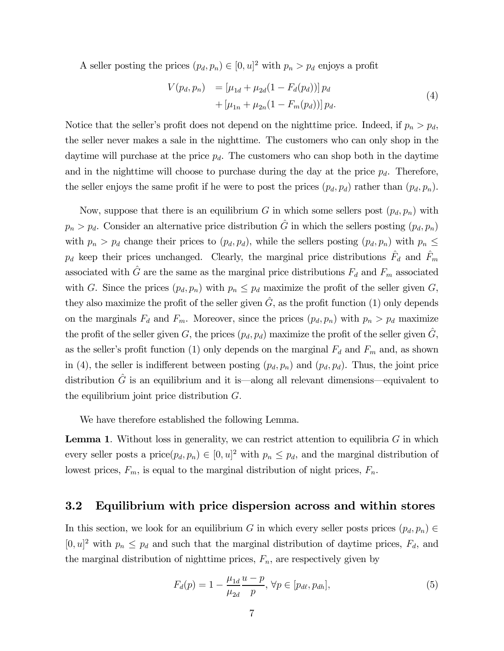A seller posting the prices  $(p_d, p_n) \in [0, u]^2$  with  $p_n > p_d$  enjoys a profit

$$
V(p_d, p_n) = [\mu_{1d} + \mu_{2d}(1 - F_d(p_d))] p_d
$$
  
+ [\mu\_{1n} + \mu\_{2n}(1 - F\_m(p\_d))] p\_d. (4)

Notice that the seller's profit does not depend on the nighttime price. Indeed, if  $p_n > p_d$ , the seller never makes a sale in the nighttime. The customers who can only shop in the daytime will purchase at the price  $p_d$ . The customers who can shop both in the daytime and in the nighttime will choose to purchase during the day at the price  $p_d$ . Therefore, the seller enjoys the same profit if he were to post the prices  $(p_d, p_d)$  rather than  $(p_d, p_n)$ .

Now, suppose that there is an equilibrium G in which some sellers post  $(p_d, p_n)$  with  $p_n > p_d$ . Consider an alternative price distribution  $\hat{G}$  in which the sellers posting  $(p_d, p_n)$ with  $p_n > p_d$  change their prices to  $(p_d, p_d)$ , while the sellers posting  $(p_d, p_n)$  with  $p_n \leq$  $p_d$  keep their prices unchanged. Clearly, the marginal price distributions  $\hat{F}_d$  and  $\hat{F}_m$ associated with  $\hat{G}$  are the same as the marginal price distributions  $F_d$  and  $F_m$  associated with G. Since the prices  $(p_d, p_n)$  with  $p_n \leq p_d$  maximize the profit of the seller given G, they also maximize the profit of the seller given  $\hat{G}$ , as the profit function (1) only depends on the marginals  $F_d$  and  $F_m$ . Moreover, since the prices  $(p_d, p_n)$  with  $p_n > p_d$  maximize the profit of the seller given G, the prices  $(p_d, p_d)$  maximize the profit of the seller given  $\tilde{G}$ , as the seller's profit function (1) only depends on the marginal  $F_d$  and  $F_m$  and, as shown in (4), the seller is indifferent between posting  $(p_d, p_n)$  and  $(p_d, p_d)$ . Thus, the joint price distribution  $\tilde{G}$  is an equilibrium and it is—along all relevant dimensions—equivalent to the equilibrium joint price distribution  $G$ .

We have therefore established the following Lemma.

**Lemma 1.** Without loss in generality, we can restrict attention to equilibria  $G$  in which every seller posts a price $(p_d, p_n) \in [0, u]^2$  with  $p_n \leq p_d$ , and the marginal distribution of lowest prices,  $F_m$ , is equal to the marginal distribution of night prices,  $F_n$ .

#### 3.2 Equilibrium with price dispersion across and within stores

In this section, we look for an equilibrium G in which every seller posts prices  $(p_d, p_n) \in$  $[0, u]^2$  with  $p_n \leq p_d$  and such that the marginal distribution of daytime prices,  $F_d$ , and the marginal distribution of nighttime prices,  $F_n$ , are respectively given by

$$
F_d(p) = 1 - \frac{\mu_{1d}}{\mu_{2d}} \frac{u - p}{p}, \forall p \in [p_{d\ell}, p_{dh}],
$$
\n(5)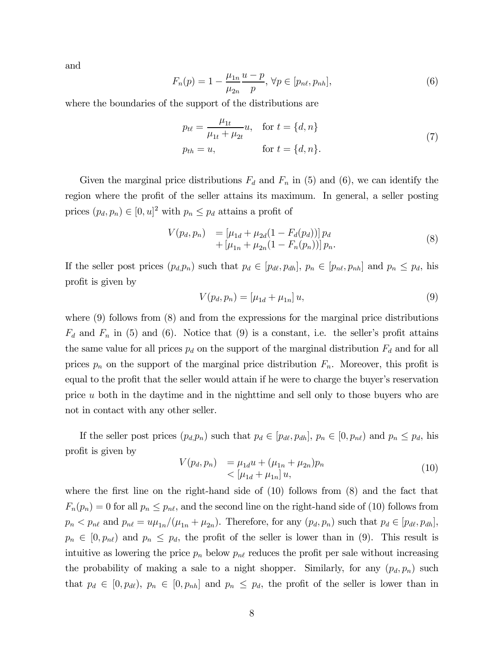and

$$
F_n(p) = 1 - \frac{\mu_{1n}}{\mu_{2n}} \frac{u - p}{p}, \forall p \in [p_{n\ell}, p_{n\ell}],
$$
\n(6)

where the boundaries of the support of the distributions are

$$
p_{t\ell} = \frac{\mu_{1t}}{\mu_{1t} + \mu_{2t}} u, \quad \text{for } t = \{d, n\}
$$
  
\n
$$
p_{th} = u, \qquad \text{for } t = \{d, n\}.
$$
 (7)

Given the marginal price distributions  $F_d$  and  $F_n$  in (5) and (6), we can identify the region where the profit of the seller attains its maximum. In general, a seller posting prices  $(p_d, p_n) \in [0, u]^2$  with  $p_n \leq p_d$  attains a profit of

$$
V(p_d, p_n) = [\mu_{1d} + \mu_{2d}(1 - F_d(p_d))] p_d + [\mu_{1n} + \mu_{2n}(1 - F_n(p_n))] p_n.
$$
 (8)

If the seller post prices  $(p_d, p_n)$  such that  $p_d \in [p_{d\ell}, p_{dh}], p_n \in [p_{n\ell}, p_{nh}]$  and  $p_n \leq p_d$ , his profit is given by

$$
V(p_d, p_n) = [\mu_{1d} + \mu_{1n}] u,
$$
\n(9)

where  $(9)$  follows from  $(8)$  and from the expressions for the marginal price distributions  $F_d$  and  $F_n$  in (5) and (6). Notice that (9) is a constant, i.e. the seller's profit attains the same value for all prices  $p_d$  on the support of the marginal distribution  $F_d$  and for all prices  $p_n$  on the support of the marginal price distribution  $F_n$ . Moreover, this profit is equal to the profit that the seller would attain if he were to charge the buyer's reservation price  $u$  both in the daytime and in the nighttime and sell only to those buyers who are not in contact with any other seller.

If the seller post prices  $(p_d, p_n)$  such that  $p_d \in [p_{d\ell}, p_{dh}], p_n \in [0, p_{n\ell})$  and  $p_n \leq p_d$ , his profit is given by

$$
V(p_d, p_n) = \mu_{1d} u + (\mu_{1n} + \mu_{2n}) p_n
$$
  

$$
< [\mu_{1d} + \mu_{1n}] u,
$$
 (10)

where the first line on the right-hand side of (10) follows from (8) and the fact that  $F_n(p_n)=0$  for all  $p_n \leq p_{n\ell}$ , and the second line on the right-hand side of (10) follows from  $p_n < p_{n\ell}$  and  $p_{n\ell} = u\mu_{1n}/(\mu_{1n} + \mu_{2n})$ . Therefore, for any  $(p_d, p_n)$  such that  $p_d \in [p_{d\ell}, p_{dh}]$ ,  $p_n \in [0, p_{n\ell})$  and  $p_n \leq p_d$ , the profit of the seller is lower than in (9). This result is intuitive as lowering the price  $p_n$  below  $p_{n\ell}$  reduces the profit per sale without increasing the probability of making a sale to a night shopper. Similarly, for any  $(p_d, p_n)$  such that  $p_d \in [0, p_{d\ell}), p_n \in [0, p_{nh}]$  and  $p_n \leq p_d$ , the profit of the seller is lower than in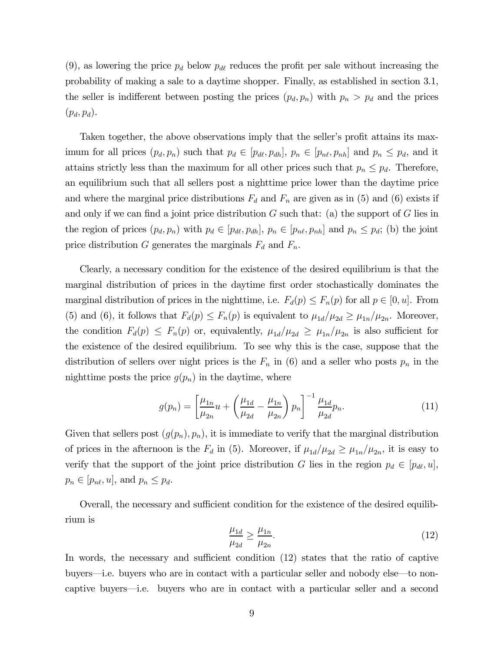(9), as lowering the price  $p_d$  below  $p_{d\ell}$  reduces the profit per sale without increasing the probability of making a sale to a daytime shopper. Finally, as established in section 3.1, the seller is indifferent between posting the prices  $(p_d, p_n)$  with  $p_n > p_d$  and the prices  $(p_d, p_d).$ 

Taken together, the above observations imply that the seller's profit attains its maximum for all prices  $(p_d, p_n)$  such that  $p_d \in [p_{d\ell}, p_{dh}], p_n \in [p_{n\ell}, p_{nh}]$  and  $p_n \leq p_d$ , and it attains strictly less than the maximum for all other prices such that  $p_n \leq p_d$ . Therefore, an equilibrium such that all sellers post a nighttime price lower than the daytime price and where the marginal price distributions  $F_d$  and  $F_n$  are given as in (5) and (6) exists if and only if we can find a joint price distribution  $G$  such that: (a) the support of  $G$  lies in the region of prices  $(p_d, p_n)$  with  $p_d \in [p_{d\ell}, p_{dh}], p_n \in [p_{n\ell}, p_{nh}]$  and  $p_n \leq p_d$ ; (b) the joint price distribution G generates the marginals  $F_d$  and  $F_n$ .

Clearly, a necessary condition for the existence of the desired equilibrium is that the marginal distribution of prices in the daytime first order stochastically dominates the marginal distribution of prices in the nighttime, i.e.  $F_d(p) \leq F_n(p)$  for all  $p \in [0, u]$ . From (5) and (6), it follows that  $F_d(p) \leq F_n(p)$  is equivalent to  $\mu_{1d}/\mu_{2d} \geq \mu_{1n}/\mu_{2n}$ . Moreover, the condition  $F_d(p) \leq F_n(p)$  or, equivalently,  $\mu_{1d}/\mu_{2d} \geq \mu_{1n}/\mu_{2n}$  is also sufficient for the existence of the desired equilibrium. To see why this is the case, suppose that the distribution of sellers over night prices is the  $F_n$  in (6) and a seller who posts  $p_n$  in the nighttime posts the price  $g(p_n)$  in the daytime, where

$$
g(p_n) = \left[\frac{\mu_{1n}}{\mu_{2n}}u + \left(\frac{\mu_{1d}}{\mu_{2d}} - \frac{\mu_{1n}}{\mu_{2n}}\right)p_n\right]^{-1} \frac{\mu_{1d}}{\mu_{2d}}p_n.
$$
 (11)

Given that sellers post  $(g(p_n), p_n)$ , it is immediate to verify that the marginal distribution of prices in the afternoon is the  $F_d$  in (5). Moreover, if  $\mu_{1d}/\mu_{2d} \ge \mu_{1n}/\mu_{2n}$ , it is easy to verify that the support of the joint price distribution G lies in the region  $p_d \in [p_{d\ell}, u]$ ,  $p_n \in [p_{n\ell}, u]$ , and  $p_n \leq p_d$ .

Overall, the necessary and sufficient condition for the existence of the desired equilibrium is

$$
\frac{\mu_{1d}}{\mu_{2d}} \ge \frac{\mu_{1n}}{\mu_{2n}}.\tag{12}
$$

In words, the necessary and sufficient condition (12) states that the ratio of captive buyers–i.e. buyers who are in contact with a particular seller and nobody else–to noncaptive buyers–i.e. buyers who are in contact with a particular seller and a second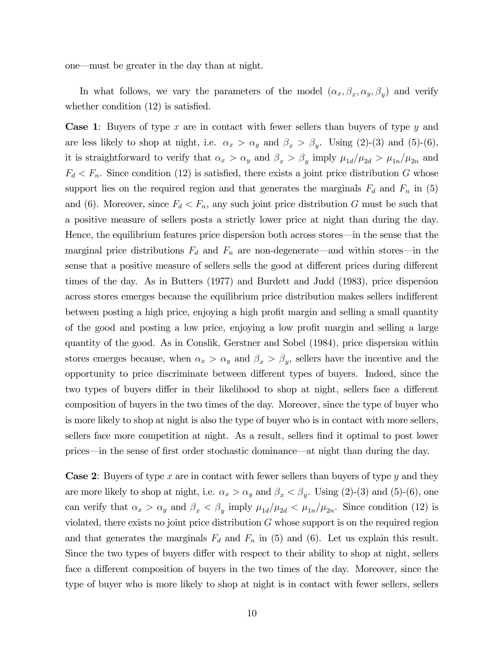one–must be greater in the day than at night.

In what follows, we vary the parameters of the model  $(\alpha_x, \beta_x, \alpha_y, \beta_y)$  and verify whether condition  $(12)$  is satisfied.

**Case 1:** Buyers of type  $x$  are in contact with fewer sellers than buyers of type  $y$  and are less likely to shop at night, i.e.  $\alpha_x > \alpha_y$  and  $\beta_x > \beta_y$ . Using (2)-(3) and (5)-(6), it is straightforward to verify that  $\alpha_x > \alpha_y$  and  $\beta_x > \beta_y$  imply  $\mu_{1d}/\mu_{2d} > \mu_{1n}/\mu_{2n}$  and  $F_d < F_n$ . Since condition (12) is satisfied, there exists a joint price distribution G whose support lies on the required region and that generates the marginals  $F_d$  and  $F_n$  in (5) and (6). Moreover, since  $F_d < F_n$ , any such joint price distribution G must be such that a positive measure of sellers posts a strictly lower price at night than during the day. Hence, the equilibrium features price dispersion both across stores–in the sense that the marginal price distributions  $F_d$  and  $F_n$  are non-degenerate—and within stores—in the sense that a positive measure of sellers sells the good at different prices during different times of the day. As in Butters (1977) and Burdett and Judd (1983), price dispersion across stores emerges because the equilibrium price distribution makes sellers indifferent between posting a high price, enjoying a high profit margin and selling a small quantity of the good and posting a low price, enjoying a low profit margin and selling a large quantity of the good. As in Conslik, Gerstner and Sobel (1984), price dispersion within stores emerges because, when  $\alpha_x > \alpha_y$  and  $\beta_x > \beta_y$ , sellers have the incentive and the opportunity to price discriminate between different types of buyers. Indeed, since the two types of buyers differ in their likelihood to shop at night, sellers face a different composition of buyers in the two times of the day. Moreover, since the type of buyer who is more likely to shop at night is also the type of buyer who is in contact with more sellers, sellers face more competition at night. As a result, sellers find it optimal to post lower prices–in the sense of first order stochastic dominance–at night than during the day.

**Case 2:** Buyers of type x are in contact with fewer sellers than buyers of type y and they are more likely to shop at night, i.e.  $\alpha_x > \alpha_y$  and  $\beta_x < \beta_y$ . Using (2)-(3) and (5)-(6), one can verify that  $\alpha_x > \alpha_y$  and  $\beta_x < \beta_y$  imply  $\mu_{1d}/\mu_{2d} < \mu_{1n}/\mu_{2n}$ . Since condition (12) is violated, there exists no joint price distribution  $G$  whose support is on the required region and that generates the marginals  $F_d$  and  $F_n$  in (5) and (6). Let us explain this result. Since the two types of buyers differ with respect to their ability to shop at night, sellers face a different composition of buyers in the two times of the day. Moreover, since the type of buyer who is more likely to shop at night is in contact with fewer sellers, sellers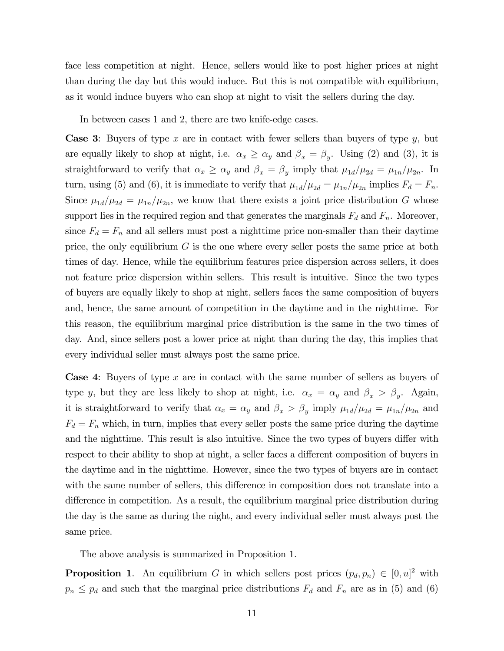face less competition at night. Hence, sellers would like to post higher prices at night than during the day but this would induce. But this is not compatible with equilibrium, as it would induce buyers who can shop at night to visit the sellers during the day.

In between cases 1 and 2, there are two knife-edge cases.

**Case 3:** Buyers of type x are in contact with fewer sellers than buyers of type y, but are equally likely to shop at night, i.e.  $\alpha_x \ge \alpha_y$  and  $\beta_x = \beta_y$ . Using (2) and (3), it is straightforward to verify that  $\alpha_x \ge \alpha_y$  and  $\beta_x = \beta_y$  imply that  $\mu_{1d}/\mu_{2d} = \mu_{1n}/\mu_{2n}$ . In turn, using (5) and (6), it is immediate to verify that  $\mu_{1d}/\mu_{2d} = \mu_{1n}/\mu_{2n}$  implies  $F_d = F_n$ . Since  $\mu_{1d}/\mu_{2d} = \mu_{1n}/\mu_{2n}$ , we know that there exists a joint price distribution G whose support lies in the required region and that generates the marginals  $F_d$  and  $F_n$ . Moreover, since  $F_d = F_n$  and all sellers must post a nighttime price non-smaller than their daytime price, the only equilibrium  $G$  is the one where every seller posts the same price at both times of day. Hence, while the equilibrium features price dispersion across sellers, it does not feature price dispersion within sellers. This result is intuitive. Since the two types of buyers are equally likely to shop at night, sellers faces the same composition of buyers and, hence, the same amount of competition in the daytime and in the nighttime. For this reason, the equilibrium marginal price distribution is the same in the two times of day. And, since sellers post a lower price at night than during the day, this implies that every individual seller must always post the same price.

**Case 4:** Buyers of type x are in contact with the same number of sellers as buyers of type y, but they are less likely to shop at night, i.e.  $\alpha_x = \alpha_y$  and  $\beta_x > \beta_y$ . Again, it is straightforward to verify that  $\alpha_x = \alpha_y$  and  $\beta_x > \beta_y$  imply  $\mu_{1d}/\mu_{2d} = \mu_{1n}/\mu_{2n}$  and  $F_d = F_n$  which, in turn, implies that every seller posts the same price during the daytime and the nighttime. This result is also intuitive. Since the two types of buyers differ with respect to their ability to shop at night, a seller faces a different composition of buyers in the daytime and in the nighttime. However, since the two types of buyers are in contact with the same number of sellers, this difference in composition does not translate into a difference in competition. As a result, the equilibrium marginal price distribution during the day is the same as during the night, and every individual seller must always post the same price.

The above analysis is summarized in Proposition 1.

**Proposition 1.** An equilibrium G in which sellers post prices  $(p_d, p_n) \in [0, u]^2$  with  $p_n \leq p_d$  and such that the marginal price distributions  $F_d$  and  $F_n$  are as in (5) and (6)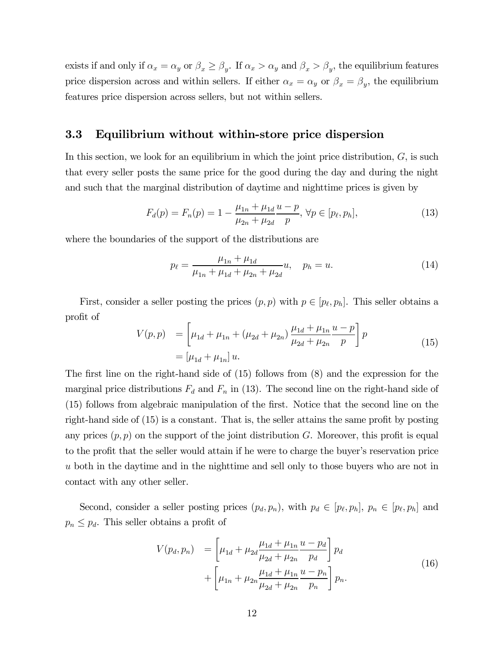exists if and only if  $\alpha_x = \alpha_y$  or  $\beta_x \ge \beta_y$ . If  $\alpha_x > \alpha_y$  and  $\beta_x > \beta_y$ , the equilibrium features price dispersion across and within sellers. If either  $\alpha_x = \alpha_y$  or  $\beta_x = \beta_y$ , the equilibrium features price dispersion across sellers, but not within sellers.

#### 3.3 Equilibrium without within-store price dispersion

In this section, we look for an equilibrium in which the joint price distribution,  $G$ , is such that every seller posts the same price for the good during the day and during the night and such that the marginal distribution of daytime and nighttime prices is given by

$$
F_d(p) = F_n(p) = 1 - \frac{\mu_{1n} + \mu_{1d}}{\mu_{2n} + \mu_{2d}} \frac{u - p}{p}, \forall p \in [p_\ell, p_h],
$$
\n(13)

where the boundaries of the support of the distributions are

$$
p_{\ell} = \frac{\mu_{1n} + \mu_{1d}}{\mu_{1n} + \mu_{1d} + \mu_{2n} + \mu_{2d}} u, \quad p_h = u.
$$
 (14)

First, consider a seller posting the prices  $(p, p)$  with  $p \in [p_\ell, p_h]$ . This seller obtains a profit of

$$
V(p,p) = \left[\mu_{1d} + \mu_{1n} + (\mu_{2d} + \mu_{2n})\frac{\mu_{1d} + \mu_{1n}}{\mu_{2d} + \mu_{2n}}\frac{u - p}{p}\right]p
$$
  
=  $[\mu_{1d} + \mu_{1n}]u$ . (15)

The first line on the right-hand side of (15) follows from (8) and the expression for the marginal price distributions  $F_d$  and  $F_n$  in (13). The second line on the right-hand side of (15) follows from algebraic manipulation of the first. Notice that the second line on the right-hand side of (15) is a constant. That is, the seller attains the same profit by posting any prices  $(p, p)$  on the support of the joint distribution G. Moreover, this profit is equal to the profit that the seller would attain if he were to charge the buyer's reservation price both in the daytime and in the nighttime and sell only to those buyers who are not in contact with any other seller.

Second, consider a seller posting prices  $(p_d, p_n)$ , with  $p_d \in [p_\ell, p_h]$ ,  $p_n \in [p_\ell, p_h]$  and  $p_n \leq p_d$ . This seller obtains a profit of

$$
V(p_d, p_n) = \left[\mu_{1d} + \mu_{2d} \frac{\mu_{1d} + \mu_{1n}}{\mu_{2d} + \mu_{2n}} \frac{u - p_d}{p_d}\right] p_d
$$
  
+ 
$$
\left[\mu_{1n} + \mu_{2n} \frac{\mu_{1d} + \mu_{1n}}{\mu_{2d} + \mu_{2n}} \frac{u - p_n}{p_n}\right] p_n.
$$
 (16)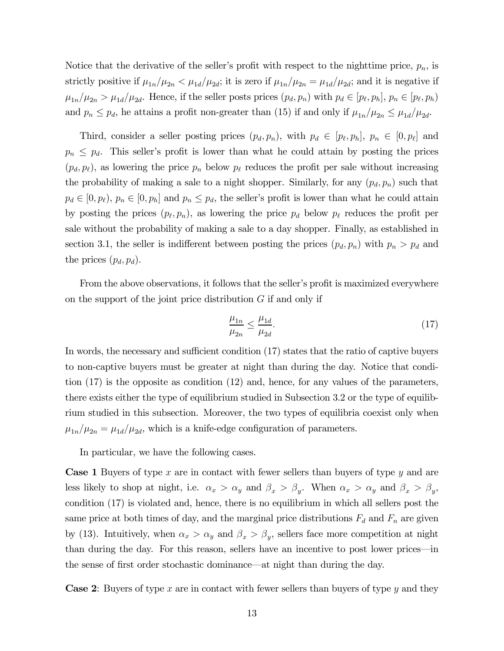Notice that the derivative of the seller's profit with respect to the nighttime price,  $p_n$ , is strictly positive if  $\mu_{1n}/\mu_{2n} < \mu_{1d}/\mu_{2d}$ ; it is zero if  $\mu_{1n}/\mu_{2n} = \mu_{1d}/\mu_{2d}$ ; and it is negative if  $\mu_{1n}/\mu_{2n} > \mu_{1d}/\mu_{2d}$ . Hence, if the seller posts prices  $(p_d, p_n)$  with  $p_d \in [p_\ell, p_h]$ ,  $p_n \in [p_\ell, p_h)$ and  $p_n \leq p_d$ , he attains a profit non-greater than (15) if and only if  $\mu_{1n}/\mu_{2n} \leq \mu_{1d}/\mu_{2d}$ .

Third, consider a seller posting prices  $(p_d, p_n)$ , with  $p_d \in [p_\ell, p_h]$ ,  $p_n \in [0, p_\ell]$  and  $p_n \leq p_d$ . This seller's profit is lower than what he could attain by posting the prices  $(p_d, p_{\ell})$ , as lowering the price  $p_n$  below  $p_{\ell}$  reduces the profit per sale without increasing the probability of making a sale to a night shopper. Similarly, for any  $(p_d, p_n)$  such that  $p_d \in [0, p_t), p_n \in [0, p_h]$  and  $p_n \leq p_d$ , the seller's profit is lower than what he could attain by posting the prices  $(p_{\ell}, p_n)$ , as lowering the price  $p_d$  below  $p_{\ell}$  reduces the profit per sale without the probability of making a sale to a day shopper. Finally, as established in section 3.1, the seller is indifferent between posting the prices  $(p_d, p_n)$  with  $p_n > p_d$  and the prices  $(p_d, p_d)$ .

From the above observations, it follows that the seller's profit is maximized everywhere on the support of the joint price distribution  $G$  if and only if

$$
\frac{\mu_{1n}}{\mu_{2n}} \le \frac{\mu_{1d}}{\mu_{2d}}.\tag{17}
$$

In words, the necessary and sufficient condition (17) states that the ratio of captive buyers to non-captive buyers must be greater at night than during the day. Notice that condition (17) is the opposite as condition (12) and, hence, for any values of the parameters, there exists either the type of equilibrium studied in Subsection 3.2 or the type of equilibrium studied in this subsection. Moreover, the two types of equilibria coexist only when  $\mu_{1n}/\mu_{2n} = \mu_{1d}/\mu_{2d}$ , which is a knife-edge configuration of parameters.

In particular, we have the following cases.

**Case 1** Buyers of type x are in contact with fewer sellers than buyers of type y and are less likely to shop at night, i.e.  $\alpha_x > \alpha_y$  and  $\beta_x > \beta_y$ . When  $\alpha_x > \alpha_y$  and  $\beta_x > \beta_y$ , condition (17) is violated and, hence, there is no equilibrium in which all sellers post the same price at both times of day, and the marginal price distributions  $F_d$  and  $F_n$  are given by (13). Intuitively, when  $\alpha_x > \alpha_y$  and  $\beta_x > \beta_y$ , sellers face more competition at night than during the day. For this reason, sellers have an incentive to post lower prices–in the sense of first order stochastic dominance–at night than during the day.

**Case 2:** Buyers of type x are in contact with fewer sellers than buyers of type y and they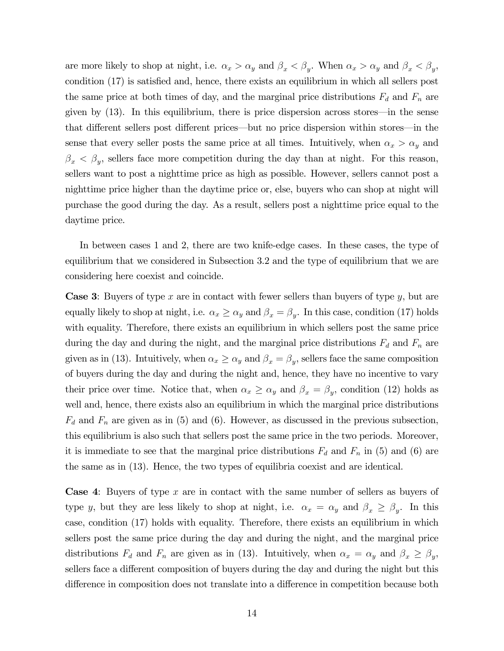are more likely to shop at night, i.e.  $\alpha_x > \alpha_y$  and  $\beta_x < \beta_y$ . When  $\alpha_x > \alpha_y$  and  $\beta_x < \beta_y$ , condition (17) is satisfied and, hence, there exists an equilibrium in which all sellers post the same price at both times of day, and the marginal price distributions  $F_d$  and  $F_n$  are given by (13). In this equilibrium, there is price dispersion across stores–in the sense that different sellers post different prices–but no price dispersion within stores–in the sense that every seller posts the same price at all times. Intuitively, when  $\alpha_x > \alpha_y$  and  $\beta_x < \beta_y$ , sellers face more competition during the day than at night. For this reason, sellers want to post a nighttime price as high as possible. However, sellers cannot post a nighttime price higher than the daytime price or, else, buyers who can shop at night will purchase the good during the day. As a result, sellers post a nighttime price equal to the daytime price.

In between cases 1 and 2, there are two knife-edge cases. In these cases, the type of equilibrium that we considered in Subsection 3.2 and the type of equilibrium that we are considering here coexist and coincide.

**Case 3:** Buyers of type  $x$  are in contact with fewer sellers than buyers of type  $y$ , but are equally likely to shop at night, i.e.  $\alpha_x \ge \alpha_y$  and  $\beta_x = \beta_y$ . In this case, condition (17) holds with equality. Therefore, there exists an equilibrium in which sellers post the same price during the day and during the night, and the marginal price distributions  $F_d$  and  $F_n$  are given as in (13). Intuitively, when  $\alpha_x \ge \alpha_y$  and  $\beta_x = \beta_y$ , sellers face the same composition of buyers during the day and during the night and, hence, they have no incentive to vary their price over time. Notice that, when  $\alpha_x \ge \alpha_y$  and  $\beta_x = \beta_y$ , condition (12) holds as well and, hence, there exists also an equilibrium in which the marginal price distributions  $F_d$  and  $F_n$  are given as in (5) and (6). However, as discussed in the previous subsection, this equilibrium is also such that sellers post the same price in the two periods. Moreover, it is immediate to see that the marginal price distributions  $F_d$  and  $F_n$  in (5) and (6) are the same as in (13). Hence, the two types of equilibria coexist and are identical.

**Case 4:** Buyers of type  $x$  are in contact with the same number of sellers as buyers of type y, but they are less likely to shop at night, i.e.  $\alpha_x = \alpha_y$  and  $\beta_x \ge \beta_y$ . In this case, condition (17) holds with equality. Therefore, there exists an equilibrium in which sellers post the same price during the day and during the night, and the marginal price distributions  $F_d$  and  $F_n$  are given as in (13). Intuitively, when  $\alpha_x = \alpha_y$  and  $\beta_x \ge \beta_y$ , sellers face a different composition of buyers during the day and during the night but this difference in composition does not translate into a difference in competition because both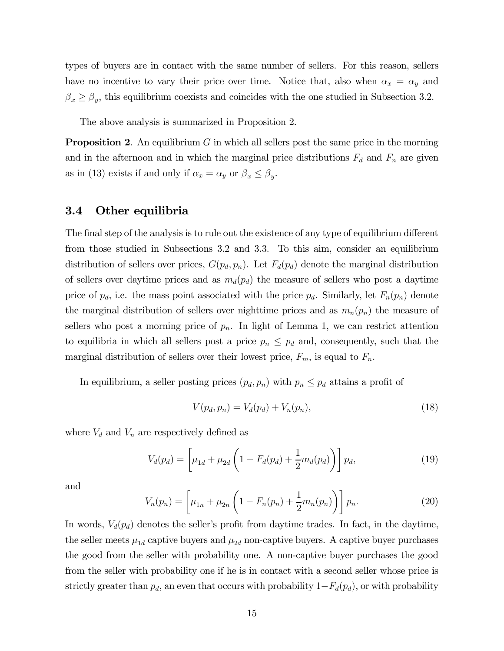types of buyers are in contact with the same number of sellers. For this reason, sellers have no incentive to vary their price over time. Notice that, also when  $\alpha_x = \alpha_y$  and  $\beta_x \ge \beta_y$ , this equilibrium coexists and coincides with the one studied in Subsection 3.2.

The above analysis is summarized in Proposition 2.

**Proposition 2.** An equilibrium  $G$  in which all sellers post the same price in the morning and in the afternoon and in which the marginal price distributions  $F_d$  and  $F_n$  are given as in (13) exists if and only if  $\alpha_x = \alpha_y$  or  $\beta_x \le \beta_y$ .

#### 3.4 Other equilibria

The final step of the analysis is to rule out the existence of any type of equilibrium different from those studied in Subsections 3.2 and 3.3. To this aim, consider an equilibrium distribution of sellers over prices,  $G(p_d, p_n)$ . Let  $F_d(p_d)$  denote the marginal distribution of sellers over daytime prices and as  $m_d(p_d)$  the measure of sellers who post a daytime price of  $p_d$ , i.e. the mass point associated with the price  $p_d$ . Similarly, let  $F_n(p_n)$  denote the marginal distribution of sellers over nighttime prices and as  $m_n(p_n)$  the measure of sellers who post a morning price of  $p_n$ . In light of Lemma 1, we can restrict attention to equilibria in which all sellers post a price  $p_n \leq p_d$  and, consequently, such that the marginal distribution of sellers over their lowest price,  $F_m$ , is equal to  $F_n$ .

In equilibrium, a seller posting prices  $(p_d, p_n)$  with  $p_n \leq p_d$  attains a profit of

$$
V(p_d, p_n) = V_d(p_d) + V_n(p_n),
$$
\n(18)

where  $V_d$  and  $V_n$  are respectively defined as

$$
V_d(p_d) = \left[\mu_{1d} + \mu_{2d} \left(1 - F_d(p_d) + \frac{1}{2} m_d(p_d)\right)\right] p_d, \tag{19}
$$

and

$$
V_n(p_n) = \left[\mu_{1n} + \mu_{2n} \left(1 - F_n(p_n) + \frac{1}{2} m_n(p_n)\right)\right] p_n.
$$
 (20)

In words,  $V_d(p_d)$  denotes the seller's profit from daytime trades. In fact, in the daytime, the seller meets  $\mu_{1d}$  captive buyers and  $\mu_{2d}$  non-captive buyers. A captive buyer purchases the good from the seller with probability one. A non-captive buyer purchases the good from the seller with probability one if he is in contact with a second seller whose price is strictly greater than  $p_d$ , an even that occurs with probability  $1-F_d(p_d)$ , or with probability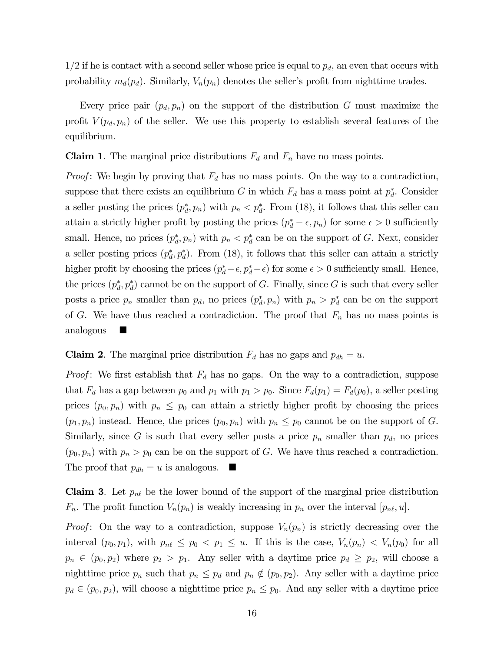$1/2$  if he is contact with a second seller whose price is equal to  $p_d$ , an even that occurs with probability  $m_d(p_d)$ . Similarly,  $V_n(p_n)$  denotes the seller's profit from nighttime trades.

Every price pair  $(p_d, p_n)$  on the support of the distribution G must maximize the profit  $V(p_d, p_n)$  of the seller. We use this property to establish several features of the equilibrium.

**Claim 1.** The marginal price distributions  $F_d$  and  $F_n$  have no mass points.

*Proof*: We begin by proving that  $F_d$  has no mass points. On the way to a contradiction, suppose that there exists an equilibrium G in which  $F_d$  has a mass point at  $p_d^*$ . Consider a seller posting the prices  $(p_d^*, p_n)$  with  $p_n < p_d^*$ . From (18), it follows that this seller can attain a strictly higher profit by posting the prices  $(p_d^* - \epsilon, p_n)$  for some  $\epsilon > 0$  sufficiently small. Hence, no prices  $(p_d^*, p_n)$  with  $p_n < p_d^*$  can be on the support of G. Next, consider a seller posting prices  $(p_d^*, p_d^*)$ . From (18), it follows that this seller can attain a strictly higher profit by choosing the prices  $(p_d^* - \epsilon, p_d^* - \epsilon)$  for some  $\epsilon > 0$  sufficiently small. Hence, the prices  $(p_d^*, p_d^*)$  cannot be on the support of G. Finally, since G is such that every seller posts a price  $p_n$  smaller than  $p_d$ , no prices  $(p_d^*, p_n)$  with  $p_n > p_d^*$  can be on the support of G. We have thus reached a contradiction. The proof that  $F_n$  has no mass points is analogous  $\blacksquare$ 

#### **Claim 2.** The marginal price distribution  $F_d$  has no gaps and  $p_{dh} = u$ .

*Proof*: We first establish that  $F_d$  has no gaps. On the way to a contradiction, suppose that  $F_d$  has a gap between  $p_0$  and  $p_1$  with  $p_1 > p_0$ . Since  $F_d(p_1) = F_d(p_0)$ , a seller posting prices  $(p_0, p_n)$  with  $p_n \leq p_0$  can attain a strictly higher profit by choosing the prices  $(p_1, p_n)$  instead. Hence, the prices  $(p_0, p_n)$  with  $p_n \leq p_0$  cannot be on the support of G. Similarly, since G is such that every seller posts a price  $p_n$  smaller than  $p_d$ , no prices  $(p_0, p_n)$  with  $p_n > p_0$  can be on the support of G. We have thus reached a contradiction. The proof that  $p_{dh} = u$  is analogous.  $\blacksquare$ 

**Claim 3.** Let  $p_{n\ell}$  be the lower bound of the support of the marginal price distribution  $F_n$ . The profit function  $V_n(p_n)$  is weakly increasing in  $p_n$  over the interval  $[p_{n\ell}, u]$ .

*Proof*: On the way to a contradiction, suppose  $V_n(p_n)$  is strictly decreasing over the interval  $(p_0, p_1)$ , with  $p_{n\ell} \leq p_0 < p_1 \leq u$ . If this is the case,  $V_n(p_n) < V_n(p_0)$  for all  $p_n \in (p_0, p_2)$  where  $p_2 > p_1$ . Any seller with a daytime price  $p_d \geq p_2$ , will choose a nighttime price  $p_n$  such that  $p_n \nleq p_d$  and  $p_n \notin (p_0, p_2)$ . Any seller with a daytime price  $p_d \in (p_0, p_2)$ , will choose a nighttime price  $p_n \leq p_0$ . And any seller with a daytime price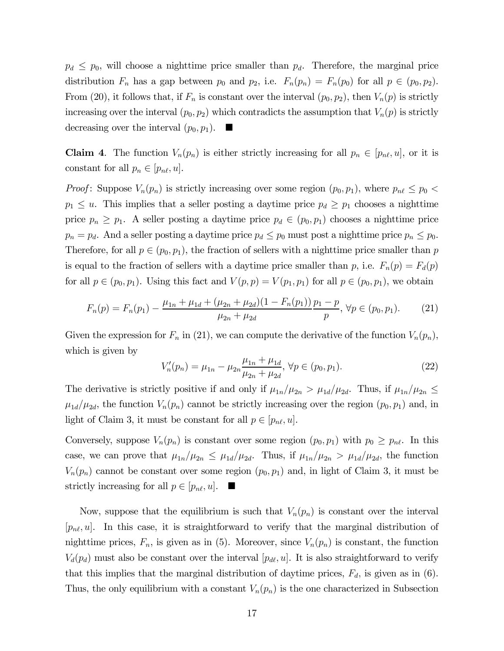$p_d \leq p_0$ , will choose a nighttime price smaller than  $p_d$ . Therefore, the marginal price distribution  $F_n$  has a gap between  $p_0$  and  $p_2$ , i.e.  $F_n(p_n) = F_n(p_0)$  for all  $p \in (p_0, p_2)$ . From (20), it follows that, if  $F_n$  is constant over the interval  $(p_0, p_2)$ , then  $V_n(p)$  is strictly increasing over the interval  $(p_0, p_2)$  which contradicts the assumption that  $V_n(p)$  is strictly decreasing over the interval  $(p_0, p_1)$ .

**Claim 4.** The function  $V_n(p_n)$  is either strictly increasing for all  $p_n \in [p_{n\ell}, u]$ , or it is constant for all  $p_n \in [p_{n\ell}, u]$ .

*Proof:* Suppose  $V_n(p_n)$  is strictly increasing over some region  $(p_0, p_1)$ , where  $p_{n\ell} \leq p_0$  $p_1 \leq u$ . This implies that a seller posting a daytime price  $p_d \geq p_1$  chooses a nighttime price  $p_n \geq p_1$ . A seller posting a daytime price  $p_d \in (p_0, p_1)$  chooses a nighttime price  $p_n = p_d$ . And a seller posting a daytime price  $p_d \le p_0$  must post a nighttime price  $p_n \le p_0$ . Therefore, for all  $p \in (p_0, p_1)$ , the fraction of sellers with a nighttime price smaller than p is equal to the fraction of sellers with a daytime price smaller than p, i.e.  $F_n(p) = F_d(p)$ for all  $p \in (p_0, p_1)$ . Using this fact and  $V(p, p) = V(p_1, p_1)$  for all  $p \in (p_0, p_1)$ , we obtain

$$
F_n(p) = F_n(p_1) - \frac{\mu_{1n} + \mu_{1d} + (\mu_{2n} + \mu_{2d})(1 - F_n(p_1))}{\mu_{2n} + \mu_{2d}} \frac{p_1 - p}{p}, \forall p \in (p_0, p_1).
$$
 (21)

Given the expression for  $F_n$  in (21), we can compute the derivative of the function  $V_n(p_n)$ , which is given by

$$
V'_{n}(p_{n}) = \mu_{1n} - \mu_{2n} \frac{\mu_{1n} + \mu_{1d}}{\mu_{2n} + \mu_{2d}}, \forall p \in (p_{0}, p_{1}).
$$
\n(22)

The derivative is strictly positive if and only if  $\mu_{1n}/\mu_{2n} > \mu_{1d}/\mu_{2d}$ . Thus, if  $\mu_{1n}/\mu_{2n} \le$  $\mu_{1d}/\mu_{2d}$ , the function  $V_n(p_n)$  cannot be strictly increasing over the region  $(p_0, p_1)$  and, in light of Claim 3, it must be constant for all  $p \in [p_{n\ell}, u]$ .

Conversely, suppose  $V_n(p_n)$  is constant over some region  $(p_0, p_1)$  with  $p_0 \geq p_{n\ell}$ . In this case, we can prove that  $\mu_{1n}/\mu_{2n} \leq \mu_{1d}/\mu_{2d}$ . Thus, if  $\mu_{1n}/\mu_{2n} > \mu_{1d}/\mu_{2d}$ , the function  $V_n(p_n)$  cannot be constant over some region  $(p_0, p_1)$  and, in light of Claim 3, it must be strictly increasing for all  $p \in [p_{n\ell}, u]$ .

Now, suppose that the equilibrium is such that  $V_n(p_n)$  is constant over the interval  $[p_{n\ell}, u]$ . In this case, it is straightforward to verify that the marginal distribution of nighttime prices,  $F_n$ , is given as in (5). Moreover, since  $V_n(p_n)$  is constant, the function  $V_d(p_d)$  must also be constant over the interval  $[p_{d\ell}, u]$ . It is also straightforward to verify that this implies that the marginal distribution of daytime prices,  $F_d$ , is given as in (6). Thus, the only equilibrium with a constant  $V_n(p_n)$  is the one characterized in Subsection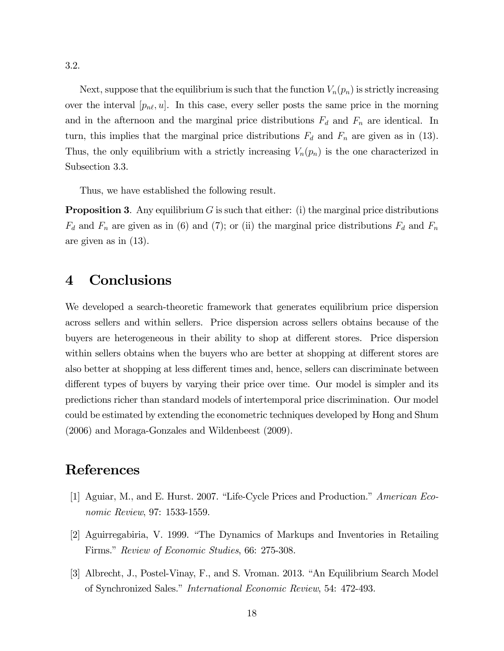3.2.

Next, suppose that the equilibrium is such that the function  $V_n(p_n)$  is strictly increasing over the interval  $[p_{n\ell}, u]$ . In this case, every seller posts the same price in the morning and in the afternoon and the marginal price distributions  $F_d$  and  $F_n$  are identical. In turn, this implies that the marginal price distributions  $F_d$  and  $F_n$  are given as in (13). Thus, the only equilibrium with a strictly increasing  $V_n(p_n)$  is the one characterized in Subsection 3.3.

Thus, we have established the following result.

**Proposition 3.** Any equilibrium  $G$  is such that either: (i) the marginal price distributions  $F_d$  and  $F_n$  are given as in (6) and (7); or (ii) the marginal price distributions  $F_d$  and  $F_n$ are given as in (13).

### 4 Conclusions

We developed a search-theoretic framework that generates equilibrium price dispersion across sellers and within sellers. Price dispersion across sellers obtains because of the buyers are heterogeneous in their ability to shop at different stores. Price dispersion within sellers obtains when the buyers who are better at shopping at different stores are also better at shopping at less different times and, hence, sellers can discriminate between different types of buyers by varying their price over time. Our model is simpler and its predictions richer than standard models of intertemporal price discrimination. Our model could be estimated by extending the econometric techniques developed by Hong and Shum (2006) and Moraga-Gonzales and Wildenbeest (2009).

## References

- [1] Aguiar, M., and E. Hurst. 2007. "Life-Cycle Prices and Production." American Economic Review, 97: 1533-1559.
- [2] Aguirregabiria, V. 1999. "The Dynamics of Markups and Inventories in Retailing Firms." Review of Economic Studies, 66: 275-308.
- [3] Albrecht, J., Postel-Vinay, F., and S. Vroman. 2013. "An Equilibrium Search Model of Synchronized Sales." International Economic Review, 54: 472-493.